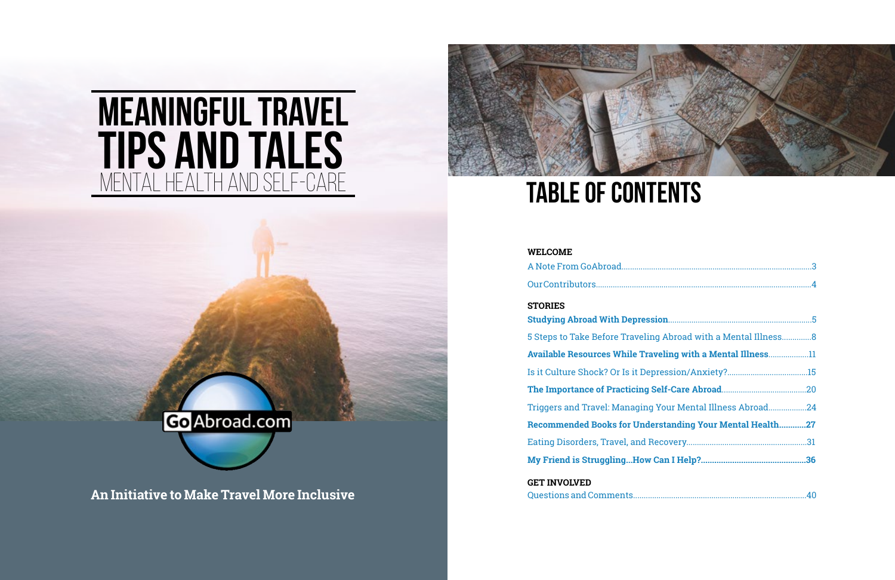| <b>STORIES</b>                                                     |  |
|--------------------------------------------------------------------|--|
|                                                                    |  |
| 5 Steps to Take Before Traveling Abroad with a Mental Illness8     |  |
| <b>Available Resources While Traveling with a Mental Illness11</b> |  |
| Is it Culture Shock? Or Is it Depression/Anxiety?15                |  |
|                                                                    |  |
| Triggers and Travel: Managing Your Mental Illness Abroad24         |  |
| Recommended Books for Understanding Your Mental Health27           |  |
|                                                                    |  |
|                                                                    |  |
|                                                                    |  |

Questions and Comments............. **GET INVOLVED**

## **Table of Contents**

## **MEANINGFUL TRAVEL TIPS and tales** Mental health and self-care



**An Initiative to Make Travel More Inclusive**

Go Abroad.com

#### **WELCOME**

#### **STORIES**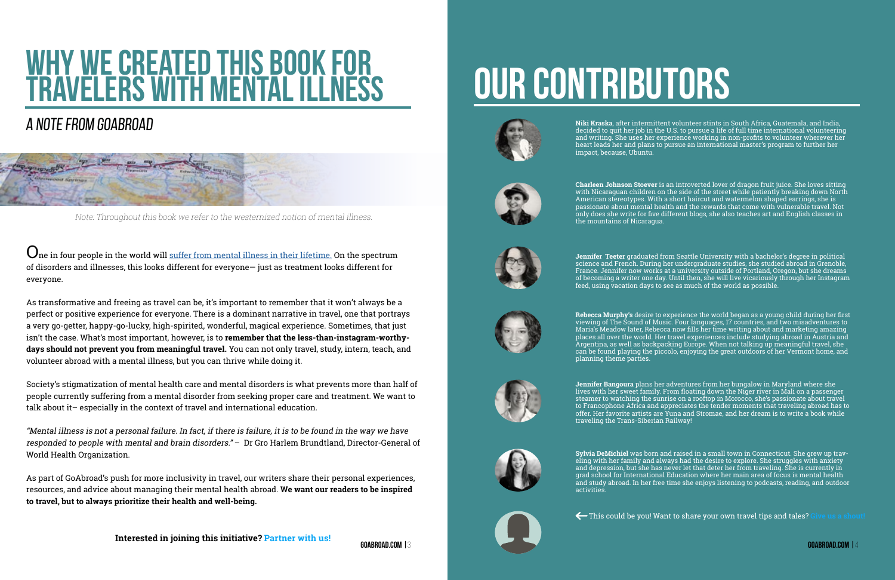## <span id="page-1-0"></span>**Why We Created this Book for travelers with mental illness**

#### A Note from GoAbroad



 $\mathbf{U}$ ne in four people in the world will [suffer from mental illness in their lifetime.](http://www.who.int/whr/2001/media_centre/press_release/en/) On the spectrum of disorders and illnesses, this looks different for everyone— just as treatment looks different for everyone.

As transformative and freeing as travel can be, it's important to remember that it won't always be a perfect or positive experience for everyone. There is a dominant narrative in travel, one that portrays a very go-getter, happy-go-lucky, high-spirited, wonderful, magical experience. Sometimes, that just isn't the case. What's most important, however, is to **remember that the less-than-instagram-worthydays should not prevent you from meaningful travel.** You can not only travel, study, intern, teach, and volunteer abroad with a mental illness, but you can thrive while doing it.

Society's stigmatization of mental health care and mental disorders is what prevents more than half of people currently suffering from a mental disorder from seeking proper care and treatment. We want to talk about it– especially in the context of travel and international education.

"Mental illness is not a personal failure. In fact, if there is failure, it is to be found in the way we have responded to people with mental and brain disorders." – Dr Gro Harlem Brundtland, Director-General of World Health Organization.

As part of GoAbroad's push for more inclusivity in travel, our writers share their personal experiences, resources, and advice about managing their mental health abroad. **We want our readers to be inspired to travel, but to always prioritize their health and well-being.**

# **Our Contributors**



**Niki Kraska**, after intermittent volunteer stints in South Africa, Guatemala, and India, decided to quit her job in the U.S. to pursue a life of full time international volunteering and writing. She uses her experience working in non-profits to volunteer wherever her heart leads her and plans to pursue an international master's program to further her impact, because, Ubuntu.

**Charleen Johnson Stoever** is an introverted lover of dragon fruit juice. She loves sitting with Nicaraguan children on the side of the street while patiently breaking down North American stereotypes. With a short haircut and watermelon shaped earrings, she is passionate about mental health and the rewards that come with vulnerable travel. Not only does she write for five different blogs, she also teaches art and English classes in



the mountains of Nicaragua.



**Jennifer Teeter** graduated from Seattle University with a bachelor's degree in political science and French. During her undergraduate studies, she studied abroad in Grenoble, France. Jennifer now works at a university outside of Portland, Oregon, but she dreams of becoming a writer one day. Until then, she will live vicariously through her Instagram feed, using vacation days to see as much of the world as possible.

**Rebecca Murphy's** desire to experience the world began as a young child during her first viewing of The Sound of Music. Four languages, 17 countries, and two misadventures to Maria's Meadow later, Rebecca now fills her time writing about and marketing amazing places all over the world. Her travel experiences include studying abroad in Austria and Argentina, as well as backpacking Europe. When not talking up meaningful travel, she can be found playing the piccolo, enjoying the great outdoors of her Vermont home, and



planning theme parties.



This could be you! Want to share your own travel tips and tales? **[Give us a shout!](mailto:erin.oppenheim%40goabroad.com?subject=I%20want%20to%20contribute%20to%20African%20American%20Perspectives%20E-book)**

**Interested in joining this initiative? [Partner with us!](mailto:erin.oppenheim%40goabroad.com?subject=Partnering%20on%20GoAbroad%27s%20Inclusivity%20Initiative) GOABROAD.COM |**<sup>3</sup> **GOABROAD.COM |**<sup>4</sup>

**Jennifer Bangoura** plans her adventures from her bungalow in Maryland where she lives with her sweet family. From floating down the Niger river in Mali on a passenger steamer to watching the sunrise on a rooftop in Morocco, she's passionate about travel to Francophone Africa and appreciates the tender moments that traveling abroad has to offer. Her favorite artists are Yuna and Stromae, and her dream is to write a book while

traveling the Trans-Siberian Railway!



Note: Throughout this book we refer to the westernized notion of mental illness.

**Sylvia DeMichiel** was born and raised in a small town in Connecticut. She grew up traveling with her family and always had the desire to explore. She struggles with anxiety and depression, but she has never let that deter her from traveling. She is currently in grad school for International Education where her main area of focus is mental health and study abroad. In her free time she enjoys listening to podcasts, reading, and outdoor

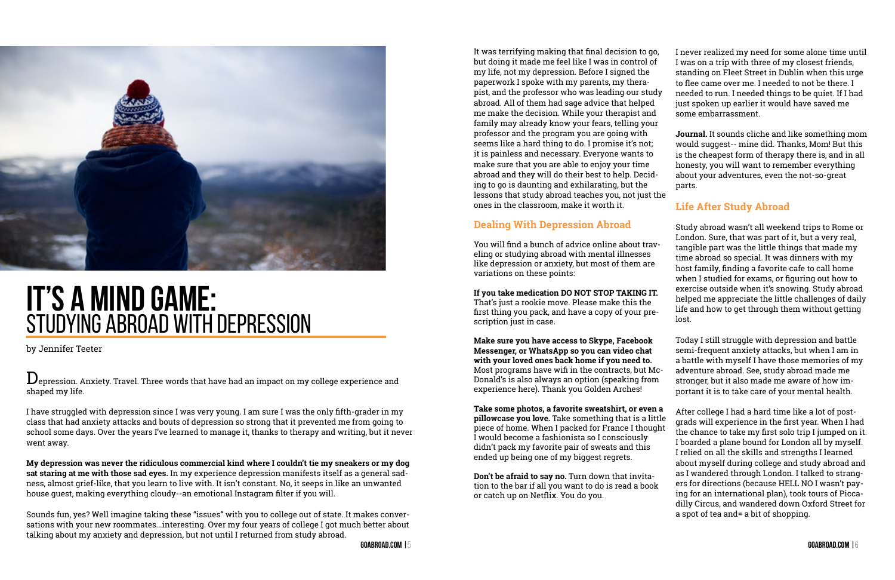<span id="page-2-0"></span>

## **it's a mind game:** studying abroad with Depression

by Jennifer Teeter

 $\bf D$ epression. Anxiety. Travel. Three words that have had an impact on my college experience and shaped my life.

I have struggled with depression since I was very young. I am sure I was the only fifth-grader in my class that had anxiety attacks and bouts of depression so strong that it prevented me from going to school some days. Over the years I've learned to manage it, thanks to therapy and writing, but it never went away.

**My depression was never the ridiculous commercial kind where I couldn't tie my sneakers or my dog sat staring at me with those sad eyes.** In my experience depression manifests itself as a general sadness, almost grief-like, that you learn to live with. It isn't constant. No, it seeps in like an unwanted house guest, making everything cloudy--an emotional Instagram filter if you will.

Sounds fun, yes? Well imagine taking these "issues" with you to college out of state. It makes conversations with your new roommates...interesting. Over my four years of college I got much better about talking about my anxiety and depression, but not until I returned from study abroad.

It was terrifying making that final decision to go, but doing it made me feel like I was in control of my life, not my depression. Before I signed the paperwork I spoke with my parents, my therapist, and the professor who was leading our study abroad. All of them had sage advice that helped me make the decision. While your therapist and family may already know your fears, telling your professor and the program you are going with seems like a hard thing to do. I promise it's not; it is painless and necessary. Everyone wants to make sure that you are able to enjoy your time abroad and they will do their best to help. Deciding to go is daunting and exhilarating, but the lessons that study abroad teaches you, not just the ones in the classroom, make it worth it.

#### **Dealing With Depression Abroad**

You will find a bunch of advice online about traveling or studying abroad with mental illnesses like depression or anxiety, but most of them are variations on these points:

**If you take medication DO NOT STOP TAKING IT.**  That's just a rookie move. Please make this the first thing you pack, and have a copy of your prescription just in case.

**Take some photos, a favorite sweatshirt, or even a pillowcase you love.** Take something that is a little piece of home. When I packed for France I thought I would become a fashionista so I consciously didn't pack my favorite pair of sweats and this ended up being one of my biggest regrets.

**Don't be afraid to say no.** Turn down that invitation to the bar if all you want to do is read a book or catch up on Netflix. You do you.

I never realized my need for some alone time until I was on a trip with three of my closest friends, standing on Fleet Street in Dublin when this urge to flee came over me. I needed to not be there. I needed to run. I needed things to be quiet. If I had just spoken up earlier it would have saved me some embarrassment.

**Make sure you have access to Skype, Facebook Messenger, or WhatsApp so you can video chat with your loved ones back home if you need to.**  Most programs have wifi in the contracts, but Mc-Donald's is also always an option (speaking from experience here). Thank you Golden Arches! Today I still struggle with depression and battle semi-frequent anxiety attacks, but when I am in a battle with myself I have those memories of my adventure abroad. See, study abroad made me stronger, but it also made me aware of how important it is to take care of your mental health.

**Journal.** It sounds cliche and like something mom would suggest-- mine did. Thanks, Mom! But this is the cheapest form of therapy there is, and in all honesty, you will want to remember everything about your adventures, even the not-so-great parts.

#### **Life After Study Abroad**

Study abroad wasn't all weekend trips to Rome or London. Sure, that was part of it, but a very real, tangible part was the little things that made my time abroad so special. It was dinners with my host family, finding a favorite cafe to call home when I studied for exams, or figuring out how to exercise outside when it's snowing. Study abroad helped me appreciate the little challenges of daily life and how to get through them without getting lost.

After college I had a hard time like a lot of postgrads will experience in the first year. When I had the chance to take my first solo trip I jumped on it. I boarded a plane bound for London all by myself. I relied on all the skills and strengths I learned about myself during college and study abroad and as I wandered through London. I talked to strangers for directions (because HELL NO I wasn't paying for an international plan), took tours of Piccadilly Circus, and wandered down Oxford Street for a spot of tea and= a bit of shopping.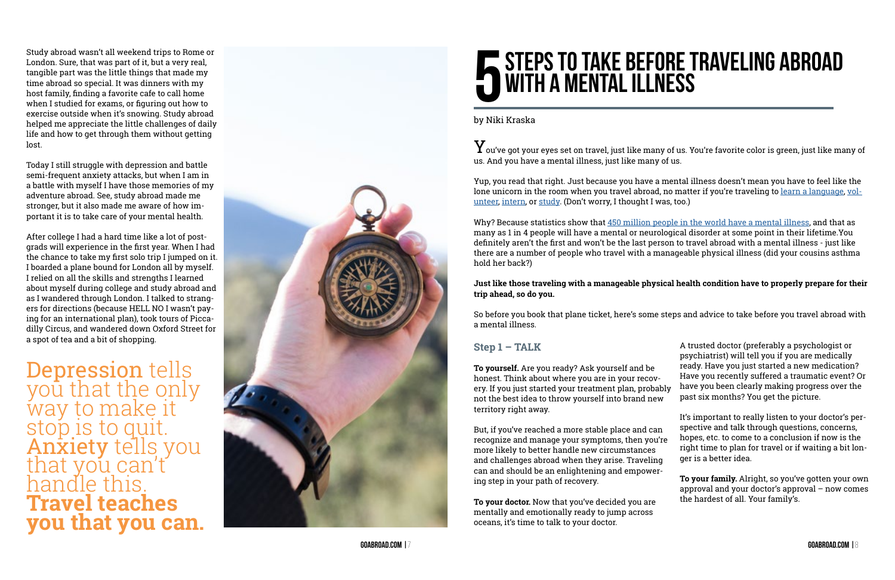<span id="page-3-0"></span>Study abroad wasn't all weekend trips to Rome or London. Sure, that was part of it, but a very real, tangible part was the little things that made my time abroad so special. It was dinners with my host family, finding a favorite cafe to call home when I studied for exams, or figuring out how to exercise outside when it's snowing. Study abroad helped me appreciate the little challenges of daily life and how to get through them without getting lost.

Today I still struggle with depression and battle semi-frequent anxiety attacks, but when I am in a battle with myself I have those memories of my adventure abroad. See, study abroad made me stronger, but it also made me aware of how im portant it is to take care of your mental health.

# **5 STEPS TO TAKE BEFORE TRAVELING ABROAD**<br>
WITH A MENTAL ILLNESS<br> **by Niki Kraska with a mental illness**

 $\mathbf Y$ ou've got your eyes set on travel, just like many of us. You're favorite color is green, just like many of us. And you have a mental illness, just like many of us.

After college I had a hard time like a lot of postgrads will experience in the first year. When I had the chance to take my first solo trip I jumped on it. I boarded a plane bound for London all by myself. I relied on all the skills and strengths I learned about myself during college and study abroad and as I wandered through London. I talked to strang ers for directions (because HELL NO I wasn't pay ing for an international plan), took tours of Picca dilly Circus, and wandered down Oxford Street for a spot of tea and a bit of shopping.

Why? Because statistics show that [450 million people in the world have a mental illness,](http://www.who.int/whr/2001/media_centre/press_release/en/) and that as many as 1 in 4 people will have a mental or neurological disorder at some point in their lifetime.You definitely aren't the first and won't be the last person to travel abroad with a mental illness - just like there are a number of people who travel with a manageable physical illness (did your cousins asthma hold her back?)

Depression tells yoū that the only way to make it stop is to quit. **Anxiety** tells you<br>that <u>y</u>ou can't <u>h</u>andle this<u>.</u> **Travel teaches you that you can.**



Yup, you read that right. Just because you have a mental illness doesn't mean you have to feel like the lone unicorn in the room when you travel abroad, no matter if you're traveling to <u>[learn a language,](http://www.goabroad.com/language-study-abroad) [vol](http://www.goabroad.com/volunteer-abroad)-</u> [unteer,](http://www.goabroad.com/volunteer-abroad) [intern,](http://www.goabroad.com/intern-abroad) or [study.](http://www.goabroad.com/study-abroad) (Don't worry, I thought I was, too.)

#### **Just like those traveling with a manageable physical health condition have to properly prepare for their**

**trip ahead, so do you.** 

So before you book that plane ticket, here's some steps and advice to take before you travel abroad with a mental illness.

**Step 1 – TALK**

**To yourself.** Are you ready? Ask yourself and be honest. Think about where you are in your recov ery. If you just started your treatment plan, proba not the best idea to throw yourself into brand new territory right away.

But, if you've reached a more stable place and can recognize and manage your symptoms, then you more likely to better handle new circumstances and challenges abroad when they arise. Traveling can and should be an enlightening and empower ing step in your path of recovery.

**To your doctor.** Now that you've decided you are mentally and emotionally ready to jump across oceans, it's time to talk to your doctor.

| ıbly<br>W     | A trusted doctor (preferably a psychologist or<br>psychiatrist) will tell you if you are medically<br>ready. Have you just started a new medication?<br>Have you recently suffered a traumatic event? Or<br>have you been clearly making progress over the<br>past six months? You get the picture. |
|---------------|-----------------------------------------------------------------------------------------------------------------------------------------------------------------------------------------------------------------------------------------------------------------------------------------------------|
| n<br>'re<br>g | It's important to really listen to your doctor's per-<br>spective and talk through questions, concerns,<br>hopes, etc. to come to a conclusion if now is the<br>right time to plan for travel or if waiting a bit lon-<br>ger is a better idea.                                                     |
| r-            | To your family. Alright, so you've gotten your own<br>approval and your doctor's approval - now comes<br>the hardest of all. Your family's.                                                                                                                                                         |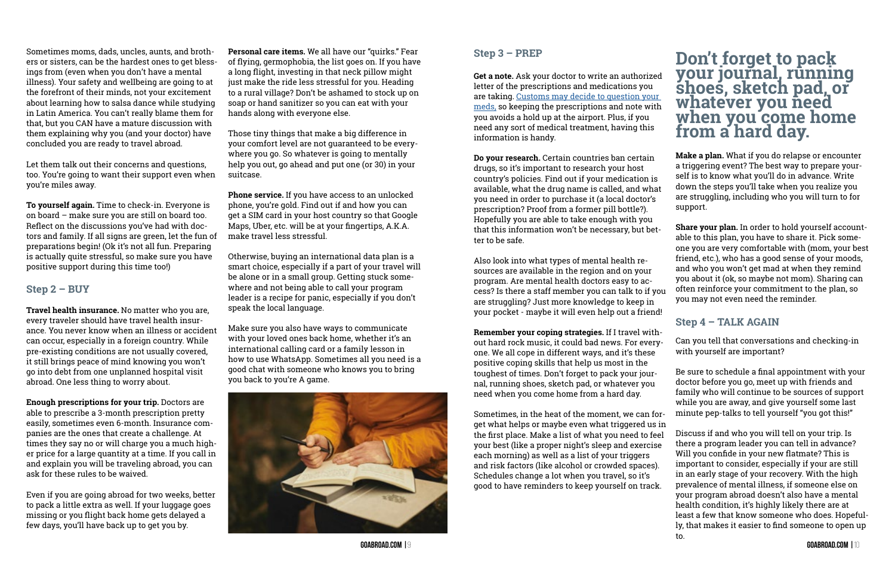Sometimes moms, dads, uncles, aunts, and brothers or sisters, can be the hardest ones to get blessings from (even when you don't have a mental illness). Your safety and wellbeing are going to at the forefront of their minds, not your excitement about learning how to salsa dance while studying in Latin America. You can't really blame them for that, but you CAN have a mature discussion with them explaining why you (and your doctor) have concluded you are ready to travel abroad.

Let them talk out their concerns and questions, too. You're going to want their support even when you're miles away.

**To yourself again.** Time to check-in. Everyone is on board – make sure you are still on board too. Reflect on the discussions you've had with doctors and family. If all signs are green, let the fun of preparations begin! (Ok it's not all fun. Preparing is actually quite stressful, so make sure you have positive support during this time too!)

#### **Step 2 – BUY**

**Travel health insurance.** No matter who you are, every traveler should have travel health insurance. You never know when an illness or accident can occur, especially in a foreign country. While pre-existing conditions are not usually covered, it still brings peace of mind knowing you won't go into debt from one unplanned hospital visit abroad. One less thing to worry about.

**Enough prescriptions for your trip.** Doctors are able to prescribe a 3-month prescription pretty easily, sometimes even 6-month. Insurance companies are the ones that create a challenge. At times they say no or will charge you a much higher price for a large quantity at a time. If you call in and explain you will be traveling abroad, you can ask for these rules to be waived.

Even if you are going abroad for two weeks, better to pack a little extra as well. If your luggage goes missing or you flight back home gets delayed a few days, you'll have back up to get you by.

**Personal care items.** We all have our "quirks." Fear of flying, germophobia, the list goes on. If you have a long flight, investing in that neck pillow might just make the ride less stressful for you. Heading to a rural village? Don't be ashamed to stock up on soap or hand sanitizer so you can eat with your hands along with everyone else.

Those tiny things that make a big difference in your comfort level are not guaranteed to be everywhere you go. So whatever is going to mentally help you out, go ahead and put one (or 30) in your suitcase.

**Phone service.** If you have access to an unlocked phone, you're gold. Find out if and how you can get a SIM card in your host country so that Google Maps, Uber, etc. will be at your fingertips, A.K.A. make travel less stressful.

Otherwise, buying an international data plan is a smart choice, especially if a part of your travel will be alone or in a small group. Getting stuck somewhere and not being able to call your program leader is a recipe for panic, especially if you don't speak the local language.

Make sure you also have ways to communicate with your loved ones back home, whether it's an international calling card or a family lesson in how to use WhatsApp. Sometimes all you need is a good chat with someone who knows you to bring you back to you're A game.



#### **Step 3 – PREP**

**Get a note.** Ask your doctor to write an authorized letter of the prescriptions and medications you are taking. [Customs may decide to question your](http://www.travelinsurancereview.net/tips-and-advice/travel-safety-tips/checklist-for-traveling-with-medications/)  [meds,](http://www.travelinsurancereview.net/tips-and-advice/travel-safety-tips/checklist-for-traveling-with-medications/) so keeping the prescriptions and note with you avoids a hold up at the airport. Plus, if you need any sort of medical treatment, having this information is handy.

**Do your research.** Certain countries ban certain drugs, so it's important to research your host country's policies. Find out if your medication is available, what the drug name is called, and what you need in order to purchase it (a local doctor's prescription? Proof from a former pill bottle?). Hopefully you are able to take enough with you that this information won't be necessary, but better to be safe.

Also look into what types of mental health resources are available in the region and on your program. Are mental health doctors easy to access? Is there a staff member you can talk to if you are struggling? Just more knowledge to keep in your pocket - maybe it will even help out a friend!

get what helps or maybe even what triggered us in the first place. Make a list of what you need to feel your best (like a proper night's sleep and exercise each morning) as well as a list of your triggers and risk factors (like alcohol or crowded spaces). Schedules change a lot when you travel, so it's good to have reminders to keep yourself on track.

#### **Don't forget to pack your journal, running shoes, sketch pad, or whatever you need when you come home from a hard day.**

**Remember your coping strategies.** If I travel without hard rock music, it could bad news. For everyone. We all cope in different ways, and it's these positive coping skills that help us most in the toughest of times. Don't forget to pack your journal, running shoes, sketch pad, or whatever you need when you come home from a hard day. Sometimes, in the heat of the moment, we can for-Can you tell that conversations and checking-in with yourself are important? Be sure to schedule a final appointment with your doctor before you go, meet up with friends and family who will continue to be sources of support while you are away, and give yourself some last minute pep-talks to tell yourself "you got this!"

**Make a plan.** What if you do relapse or encounter a triggering event? The best way to prepare yourself is to know what you'll do in advance. Write down the steps you'll take when you realize you are struggling, including who you will turn to for support.

**Share your plan.** In order to hold yourself accountable to this plan, you have to share it. Pick someone you are very comfortable with (mom, your best friend, etc.), who has a good sense of your moods, and who you won't get mad at when they remind you about it (ok, so maybe not mom). Sharing can often reinforce your commitment to the plan, so you may not even need the reminder.

#### **Step 4 – TALK AGAIN**

- Discuss if and who you will tell on your trip. Is there a program leader you can tell in advance? Will you confide in your new flatmate? This is important to consider, especially if your are still in an early stage of your recovery. With the high
- prevalence of mental illness, if someone else on your program abroad doesn't also have a mental health condition, it's highly likely there are at least a few that know someone who does. Hopefully, that makes it easier to find someone to open up to.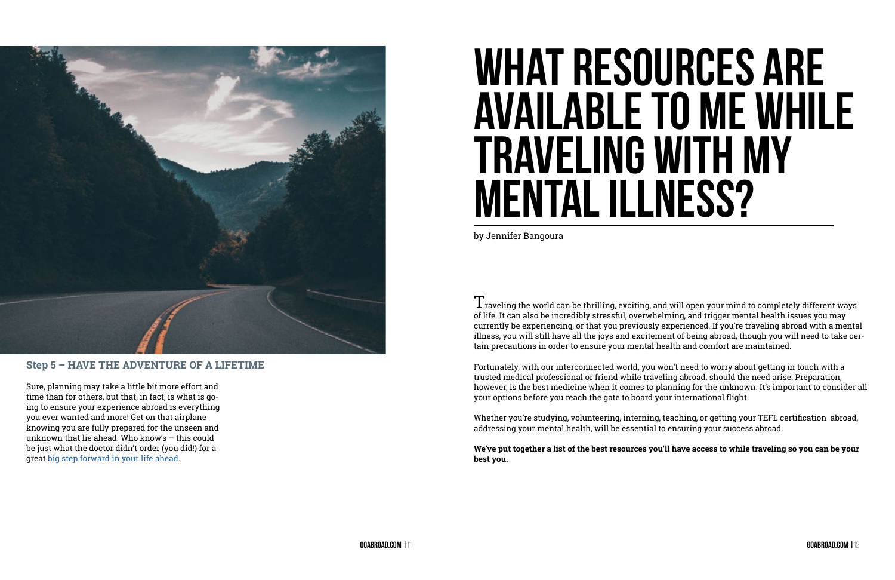<span id="page-5-0"></span>

#### **Step 5 – HAVE THE ADVENTURE OF A LIFETIME**

Sure, planning may take a little bit more effort and time than for others, but that, in fact, is what is going to ensure your experience abroad is everything you ever wanted and more! Get on that airplane knowing you are fully prepared for the unseen and unknown that lie ahead. Who know's – this could be just what the doctor didn't order (you did!) for a great [big step forward in your life ahead.](http://www.npr.org/templates/story/story.php%3FstoryId%3D113846968)

# **What resources are available to me while traveling with my mental illness?**

 $\bm 1$  raveling the world can be thrilling, exciting, and will open your mind to completely different ways of life. It can also be incredibly stressful, overwhelming, and trigger mental health issues you may currently be experiencing, or that you previously experienced. If you're traveling abroad with a mental illness, you will still have all the joys and excitement of being abroad, though you will need to take certain precautions in order to ensure your mental health and comfort are maintained.

by Jennifer Bangoura

Fortunately, with our interconnected world, you won't need to worry about getting in touch with a trusted medical professional or friend while traveling abroad, should the need arise. Preparation, however, is the best medicine when it comes to planning for the unknown. It's important to consider all your options before you reach the gate to board your international flight.

Whether you're studying, volunteering, interning, teaching, or getting your TEFL certification abroad, addressing your mental health, will be essential to ensuring your success abroad.

**We've put together a list of the best resources you'll have access to while traveling so you can be your best you.**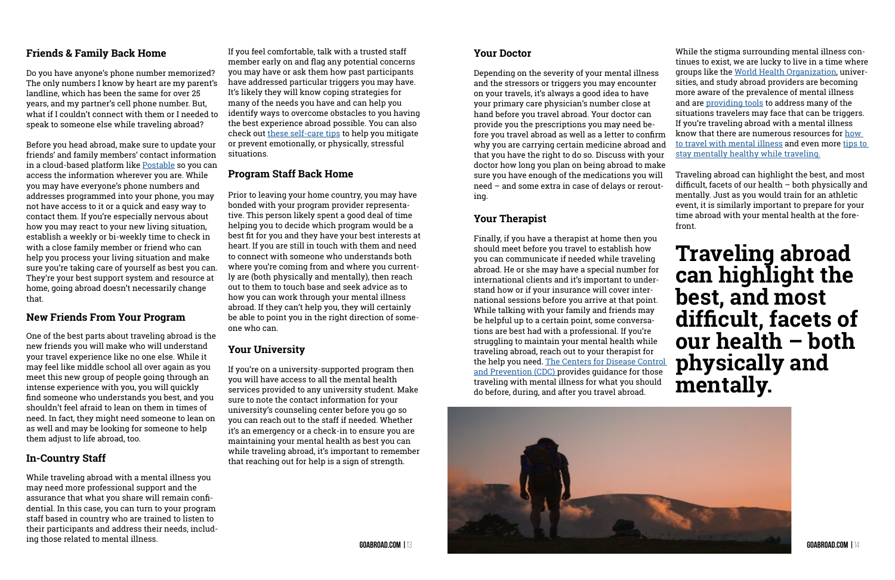

#### **Friends & Family Back Home**

Do you have anyone's phone number memorized? The only numbers I know by heart are my parent's landline, which has been the same for over 25 years, and my partner's cell phone number. But, what if I couldn't connect with them or I needed to speak to someone else while traveling abroad?

Before you head abroad, make sure to update your friends' and family members' contact information in a cloud-based platform like [Postable](https://www.postable.com/) so you can access the information wherever you are. While you may have everyone's phone numbers and addresses programmed into your phone, you may not have access to it or a quick and easy way to contact them. If you're especially nervous about how you may react to your new living situation, establish a weekly or bi-weekly time to check in with a close family member or friend who can help you process your living situation and make sure you're taking care of yourself as best you can. They're your best support system and resource at home, going abroad doesn't necessarily change that.

#### **New Friends From Your Program**

One of the best parts about traveling abroad is the new friends you will make who will understand your travel experience like no one else. While it may feel like middle school all over again as you meet this new group of people going through an intense experience with you, you will quickly find someone who understands you best, and you shouldn't feel afraid to lean on them in times of need. In fact, they might need someone to lean on as well and may be looking for someone to help them adjust to life abroad, too.

#### **In-Country Staff**

While traveling abroad with a mental illness you may need more professional support and the assurance that what you share will remain confidential. In this case, you can turn to your program staff based in country who are trained to listen to their participants and address their needs, including those related to mental illness.

If you feel comfortable, talk with a trusted staff member early on and flag any potential concerns you may have or ask them how past participants have addressed particular triggers you may have. It's likely they will know coping strategies for many of the needs you have and can help you identify ways to overcome obstacles to you having the best experience abroad possible. You can also check out [these self-care tips](http://www.goabroad.com/articles/study-abroad/the-importance-of-practicing-self-care-while-studying-abroad) to help you mitigate or prevent emotionally, or physically, stressful situations.

#### **Program Staff Back Home**

Prior to leaving your home country, you may have bonded with your program provider representative. This person likely spent a good deal of time helping you to decide which program would be a best fit for you and they have your best interests at heart. If you are still in touch with them and need to connect with someone who understands both where you're coming from and where you currently are (both physically and mentally), then reach out to them to touch base and seek advice as to how you can work through your mental illness abroad. If they can't help you, they will certainly be able to point you in the right direction of someone who can.

#### **Your University**

If you're on a university-supported program then you will have access to all the mental health services provided to any university student. Make sure to note the contact information for your university's counseling center before you go so you can reach out to the staff if needed. Whether it's an emergency or a check-in to ensure you are maintaining your mental health as best you can while traveling abroad, it's important to remember that reaching out for help is a sign of strength.

Finally, if you have a therapist at home then you should meet before you travel to establish how you can communicate if needed while traveling abroad. He or she may have a special number for international clients and it's important to understand how or if your insurance will cover international sessions before you arrive at that point. While talking with your family and friends may be helpful up to a certain point, some conversations are best had with a professional. If you're struggling to maintain your mental health while traveling abroad, reach out to your therapist for the help you need. [The Centers for Disease Control](http://wwwnc.cdc.gov/travel/yellowbook/2016/the-pre-travel-consultation/mental-health)  [and Prevention \(CDC\) p](http://wwwnc.cdc.gov/travel/yellowbook/2016/the-pre-travel-consultation/mental-health)rovides guidance for those traveling with mental illness for what you should do before, during, and after you travel abroad.

**Your Doctor**  Depending on the severity of your mental illness and the stressors or triggers you may encounter on your travels, it's always a good idea to have your primary care physician's number close at hand before you travel abroad. Your doctor can provide you the prescriptions you may need before you travel abroad as well as a letter to confirm why you are carrying certain medicine abroad and that you have the right to do so. Discuss with your doctor how long you plan on being abroad to make sure you have enough of the medications you will need – and some extra in case of delays or rerouting. **Your Therapist**  While the stigma surrounding mental illness continues to exist, we are lucky to live in a time where groups like the [World Health Organization,](http://www.who.int/ith/other_health_risks/psychological_health/en/) universities, and study abroad providers are becoming more aware of the prevalence of mental illness and are [providing tools](https://www.nafsa.org/_/File/_/InternationalEducator/EducationAbroadNovDec05.pdf) to address many of the situations travelers may face that can be triggers. If you're traveling abroad with a mental illness know that there are numerous resources for [how](http://www.huffingtonpost.com/shanny-matterson/how-to-travel-with-mental_b_9128932.html)  [to travel with mental illness](http://www.huffingtonpost.com/shanny-matterson/how-to-travel-with-mental_b_9128932.html) and even more [tips to](http://www.nami.org/Blogs/NAMI-Blog/April-2016/Tips-to-Stay-Mentally-Healthy-While-Traveling)  [stay mentally healthy while traveling.](http://www.nami.org/Blogs/NAMI-Blog/April-2016/Tips-to-Stay-Mentally-Healthy-While-Traveling) Traveling abroad can highlight the best, and most difficult, facets of our health – both physically and mentally. Just as you would train for an athletic event, it is similarly important to prepare for your time abroad with your mental health at the forefront.

### **Traveling abroad can highlight the best, and most difficult, facets of our health – both physically and mentally.**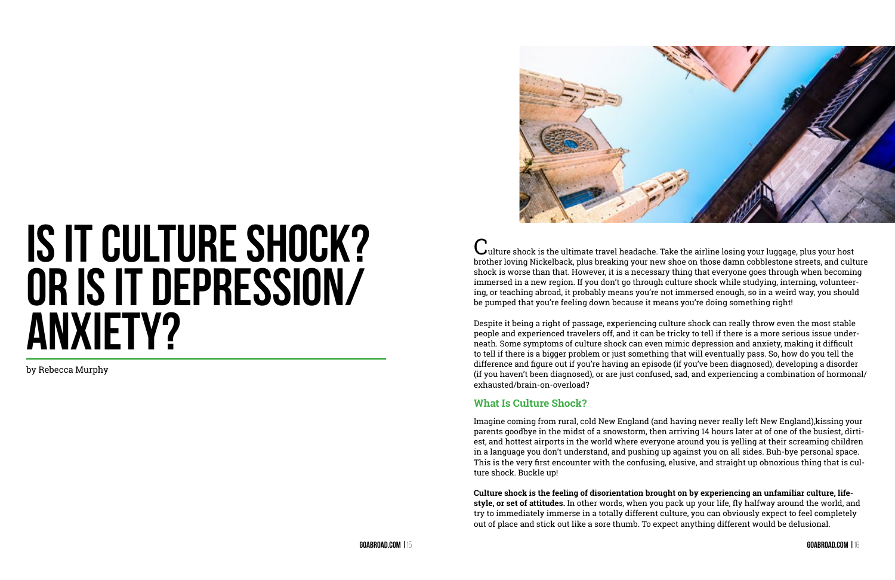# <span id="page-7-0"></span>**Is it culture shock? or is it Depression/ anxiety?**

by Rebecca Murphy



## Culture shock is the ultimate travel headache. Take the airline losing your luggage, plus your host be pumped that you're feeling down because it means you're doing something right!

brother loving Nickelback, plus breaking your new shoe on those damn cobblestone streets, and culture shock is worse than that. However, it is a necessary thing that everyone goes through when becoming immersed in a new region. If you don't go through culture shock while studying, interning, volunteering, or teaching abroad, it probably means you're not immersed enough, so in a weird way, you should

Despite it being a right of passage, experiencing culture shock can really throw even the most stable people and experienced travelers off, and it can be tricky to tell if there is a more serious issue underneath. Some symptoms of culture shock can even mimic depression and anxiety, making it difficult to tell if there is a bigger problem or just something that will eventually pass. So, how do you tell the difference and figure out if you're having an episode (if you've been diagnosed), developing a disorder (if you haven't been diagnosed), or are just confused, sad, and experiencing a combination of hormonal/ exhausted/brain-on-overload?

#### **What Is Culture Shock?**

Imagine coming from rural, cold New England (and having never really left New England),kissing your parents goodbye in the midst of a snowstorm, then arriving 14 hours later at of one of the busiest, dirtiest, and hottest airports in the world where everyone around you is yelling at their screaming children in a language you don't understand, and pushing up against you on all sides. Buh-bye personal space. This is the very first encounter with the confusing, elusive, and straight up obnoxious thing that is culture shock. Buckle up!

**Culture shock is the feeling of disorientation brought on by experiencing an unfamiliar culture, lifestyle, or set of attitudes.** In other words, when you pack up your life, fly halfway around the world, and try to immediately immerse in a totally different culture, you can obviously expect to feel completely out of place and stick out like a sore thumb. To expect anything different would be delusional.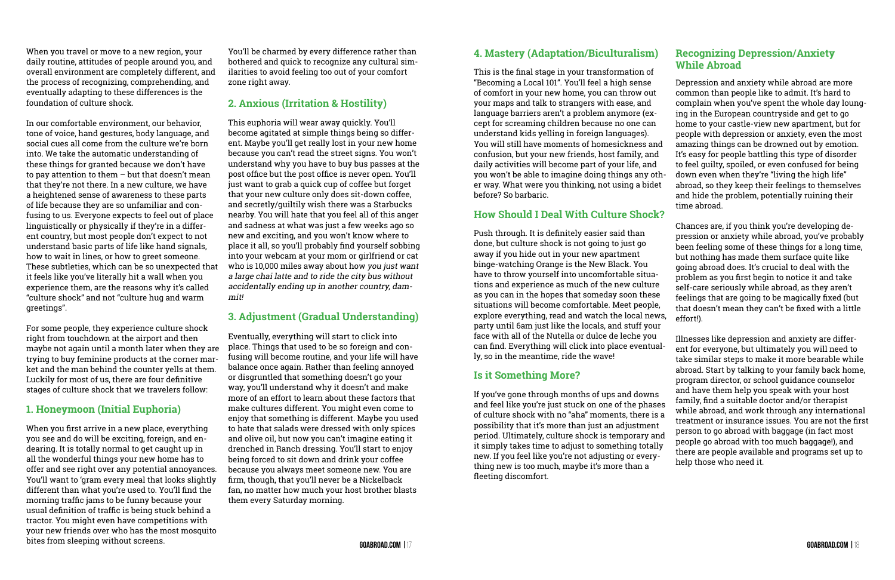When you travel or move to a new region, your daily routine, attitudes of people around you, and overall environment are completely different, and the process of recognizing, comprehending, and eventually adapting to these differences is the foundation of culture shock.

In our comfortable environment, our behavior, tone of voice, hand gestures, body language, and social cues all come from the culture we're born into. We take the automatic understanding of these things for granted because we don't have to pay attention to them – but that doesn't mean that they're not there. In a new culture, we have a heightened sense of awareness to these parts of life because they are so unfamiliar and confusing to us. Everyone expects to feel out of place linguistically or physically if they're in a different country, but most people don't expect to not understand basic parts of life like hand signals, how to wait in lines, or how to greet someone. These subtleties, which can be so unexpected that it feels like you've literally hit a wall when you experience them, are the reasons why it's called "culture shock" and not "culture hug and warm greetings".

For some people, they experience culture shock right from touchdown at the airport and then maybe not again until a month later when they are trying to buy feminine products at the corner market and the man behind the counter yells at them. Luckily for most of us, there are four definitive stages of culture shock that we travelers follow:

#### **1. Honeymoon (Initial Euphoria)**

When you first arrive in a new place, everything you see and do will be exciting, foreign, and endearing. It is totally normal to get caught up in all the wonderful things your new home has to offer and see right over any potential annoyances. You'll want to 'gram every meal that looks slightly different than what you're used to. You'll find the morning traffic jams to be funny because your usual definition of traffic is being stuck behind a tractor. You might even have competitions with your new friends over who has the most mosquito bites from sleeping without screens.

#### **2. Anxious (Irritation & Hostility)**

This euphoria will wear away quickly. You'll become agitated at simple things being so different. Maybe you'll get really lost in your new home because you can't read the street signs. You won't understand why you have to buy bus passes at the post office but the post office is never open. You'll just want to grab a quick cup of coffee but forget that your new culture only does sit-down coffee, and secretly/guiltily wish there was a Starbucks nearby. You will hate that you feel all of this anger and sadness at what was just a few weeks ago so new and exciting, and you won't know where to place it all, so you'll probably find yourself sobbing into your webcam at your mom or girlfriend or cat who is 10,000 miles away about how you just want a large chai latte and to ride the city bus without accidentally ending up in another country, dammit!

#### **3. Adjustment (Gradual Understanding)**

Eventually, everything will start to click into place. Things that used to be so foreign and confusing will become routine, and your life will have balance once again. Rather than feeling annoyed or disgruntled that something doesn't go your way, you'll understand why it doesn't and make more of an effort to learn about these factors that make cultures different. You might even come to enjoy that something is different. Maybe you used to hate that salads were dressed with only spices and olive oil, but now you can't imagine eating it drenched in Ranch dressing. You'll start to enjoy being forced to sit down and drink your coffee because you always meet someone new. You are firm, though, that you'll never be a Nickelback fan, no matter how much your host brother blasts them every Saturday morning.

#### **4. Mastery (Adaptation/Biculturalism)**

This is the final stage in your transformation of "Becoming a Local 101". You'll feel a high sense of comfort in your new home, you can throw out your maps and talk to strangers with ease, and language barriers aren't a problem anymore (except for screaming children because no one can understand kids yelling in foreign languages). You will still have moments of homesickness and confusion, but your new friends, host family, and daily activities will become part of your life, and you won't be able to imagine doing things any other way. What were you thinking, not using a bidet before? So barbaric.

#### **How Should I Deal With Culture Shock?**

Push through. It is definitely easier said than done, but culture shock is not going to just go away if you hide out in your new apartment binge-watching Orange is the New Black. You have to throw yourself into uncomfortable situaas you can in the hopes that someday soon these situations will become comfortable. Meet people, explore everything, read and watch the local news, party until 6am just like the locals, and stuff your can find. Everything will click into place eventualand feel like you're just stuck on one of the phases of culture shock with no "aha" moments, there is a possibility that it's more than just an adjustment effort!).

#### **Recognizing Depression/Anxiety While Abroad**

Depression and anxiety while abroad are more common than people like to admit. It's hard to complain when you've spent the whole day lounging in the European countryside and get to go home to your castle-view new apartment, but for people with depression or anxiety, even the most amazing things can be drowned out by emotion. It's easy for people battling this type of disorder to feel guilty, spoiled, or even confused for being down even when they're "living the high life" abroad, so they keep their feelings to themselves and hide the problem, potentially ruining their time abroad.

tions and experience as much of the new culture face with all of the Nutella or dulce de leche you ly, so in the meantime, ride the wave! **Is it Something More?**  If you've gone through months of ups and downs period. Ultimately, culture shock is temporary and it simply takes time to adjust to something totally new. If you feel like you're not adjusting or everything new is too much, maybe it's more than a fleeting discomfort. self-care seriously while abroad, as they aren't feelings that are going to be magically fixed (but that doesn't mean they can't be fixed with a little Illnesses like depression and anxiety are different for everyone, but ultimately you will need to take similar steps to make it more bearable while abroad. Start by talking to your family back home, program director, or school guidance counselor and have them help you speak with your host family, find a suitable doctor and/or therapist while abroad, and work through any international treatment or insurance issues. You are not the first person to go abroad with baggage (in fact most people go abroad with too much baggage!), and there are people available and programs set up to help those who need it.

Chances are, if you think you're developing depression or anxiety while abroad, you've probably been feeling some of these things for a long time, but nothing has made them surface quite like going abroad does. It's crucial to deal with the problem as you first begin to notice it and take

You'll be charmed by every difference rather than bothered and quick to recognize any cultural similarities to avoid feeling too out of your comfort zone right away.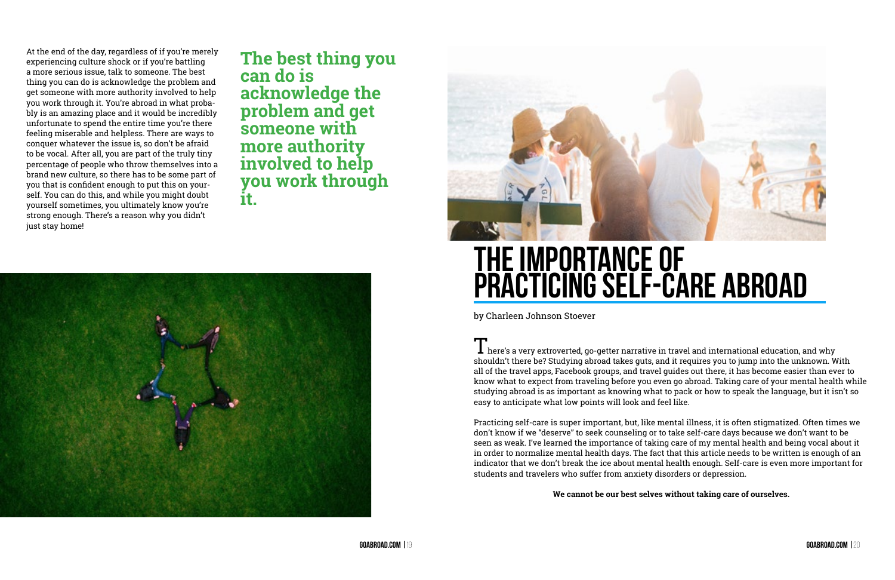<span id="page-9-0"></span>At the end of the day, regardless of if you're merely experiencing culture shock or if you're battling a more serious issue, talk to someone. The best thing you can do is acknowledge the problem and get someone with more authority involved to help you work through it. You're abroad in what probably is an amazing place and it would be incredibly unfortunate to spend the entire time you're there feeling miserable and helpless. There are ways to conquer whatever the issue is, so don't be afraid to be vocal. After all, you are part of the truly tiny percentage of people who throw themselves into a brand new culture, so there has to be some part of you that is confident enough to put this on yourself. You can do this, and while you might doubt yourself sometimes, you ultimately know you're strong enough. There's a reason why you didn't just stay home!

> $\perp$  here's a very extroverted, go-getter narrative in travel and international education, and why shouldn't there be? Studying abroad takes guts, and it requires you to jump into the unknown. With all of the travel apps, Facebook groups, and travel guides out there, it has become easier than ever to know what to expect from traveling before you even go abroad. Taking care of your mental health while studying abroad is as important as knowing what to pack or how to speak the language, but it isn't so easy to anticipate what low points will look and feel like.

**The best thing you can do is acknowledge the problem and get someone with more authority involved to help you work through it.** 





## **the importance of practicing self-care abroad**

by Charleen Johnson Stoever

Practicing self-care is super important, but, like mental illness, it is often stigmatized. Often times we don't know if we "deserve" to seek counseling or to take self-care days because we don't want to be seen as weak. I've learned the importance of taking care of my mental health and being vocal about it in order to normalize mental health days. The fact that this article needs to be written is enough of an indicator that we don't break the ice about mental health enough. Self-care is even more important for students and travelers who suffer from anxiety disorders or depression.

**We cannot be our best selves without taking care of ourselves.**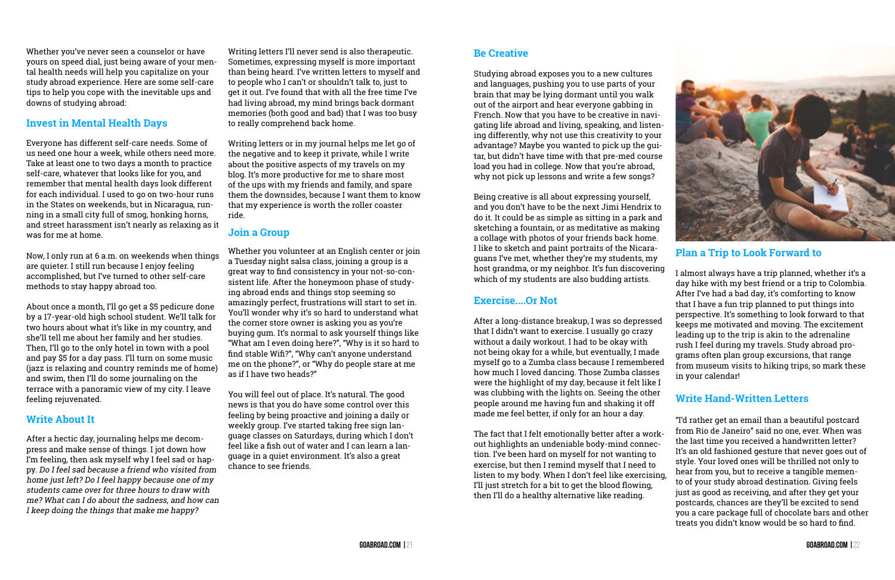Whether you've never seen a counselor or have yours on speed dial, just being aware of your mental health needs will help you capitalize on your study abroad experience. Here are some self-care tips to help you cope with the inevitable ups and downs of studying abroad:

#### **Invest in Mental Health Days**

Everyone has different self-care needs. Some of us need one hour a week, while others need more. Take at least one to two days a month to practice self-care, whatever that looks like for you, and remember that mental health days look different for each individual. I used to go on two-hour runs in the States on weekends, but in Nicaragua, running in a small city full of smog, honking horns, and street harassment isn't nearly as relaxing as it was for me at home.

Now, I only run at 6 a.m. on weekends when things are quieter. I still run because I enjoy feeling accomplished, but I've turned to other self-care methods to stay happy abroad too.

About once a month, I'll go get a \$5 pedicure done by a 17-year-old high school student. We'll talk for two hours about what it's like in my country, and she'll tell me about her family and her studies. Then, I'll go to the only hotel in town with a pool and pay \$5 for a day pass. I'll turn on some music (jazz is relaxing and country reminds me of home) and swim, then I'll do some journaling on the terrace with a panoramic view of my city. I leave feeling rejuvenated.

#### **Write About It**

After a hectic day, journaling helps me decompress and make sense of things. I jot down how I'm feeling, then ask myself why I feel sad or happy. Do I feel sad because a friend who visited from home just left? Do I feel happy because one of my students came over for three hours to draw with me? What can I do about the sadness, and how can I keep doing the things that make me happy?

Writing letters I'll never send is also therapeutic. Sometimes, expressing myself is more important than being heard. I've written letters to myself and to people who I can't or shouldn't talk to, just to get it out. I've found that with all the free time I've had living abroad, my mind brings back dormant memories (both good and bad) that I was too busy to really comprehend back home.

Writing letters or in my journal helps me let go of the negative and to keep it private, while I write about the positive aspects of my travels on my blog. It's more productive for me to share most of the ups with my friends and family, and spare them the downsides, because I want them to know that my experience is worth the roller coaster ride.

#### **Join a Group**

Whether you volunteer at an English center or join a Tuesday night salsa class, joining a group is a great way to find consistency in your not-so-consistent life. After the honeymoon phase of studying abroad ends and things stop seeming so amazingly perfect, frustrations will start to set in. You'll wonder why it's so hard to understand what the corner store owner is asking you as you're buying gum. It's normal to ask yourself things like "What am I even doing here?", "Why is it so hard to find stable Wifi?", "Why can't anyone understand me on the phone?", or "Why do people stare at me as if I have two heads?"

You will feel out of place. It's natural. The good news is that you do have some control over this feeling by being proactive and joining a daily or weekly group. I've started taking free sign language classes on Saturdays, during which I don't feel like a fish out of water and I can learn a language in a quiet environment. It's also a great chance to see friends.

#### **Be Creative**

Studying abroad exposes you to a new cultures and languages, pushing you to use parts of your brain that may be lying dormant until you walk out of the airport and hear everyone gabbing in French. Now that you have to be creative in navigating life abroad and living, speaking, and listening differently, why not use this creativity to your advantage? Maybe you wanted to pick up the guitar, but didn't have time with that pre-med course load you had in college. Now that you're abroad, why not pick up lessons and write a few songs?

Being creative is all about expressing yourself, and you don't have to be the next Jimi Hendrix to do it. It could be as simple as sitting in a park and sketching a fountain, or as meditative as making a collage with photos of your friends back home. I like to sketch and paint portraits of the Nicaraguans I've met, whether they're my students, my host grandma, or my neighbor. It's fun discovering

which of my students are also budding artists. **Exercise....Or Not** After a long-distance breakup, I was so depressed that I didn't want to exercise. I usually go crazy without a daily workout. I had to be okay with not being okay for a while, but eventually, I made myself go to a Zumba class because I remembered how much I loved dancing. Those Zumba classes were the highlight of my day, because it felt like I was clubbing with the lights on. Seeing the other people around me having fun and shaking it off made me feel better, if only for an hour a day. I almost always have a trip planned, whether it's a day hike with my best friend or a trip to Colombia. After I've had a bad day, it's comforting to know that I have a fun trip planned to put things into perspective. It's something to look forward to that keeps me motivated and moving. The excitement leading up to the trip is akin to the adrenaline rush I feel during my travels. Study abroad programs often plan group excursions, that range from museum visits to hiking trips, so mark these in your calendar! **Write Hand-Written Letters**

#### **Plan a Trip to Look Forward to**

The fact that I felt emotionally better after a workout highlights an undeniable body-mind connection. I've been hard on myself for not wanting to exercise, but then I remind myself that I need to listen to my body. When I don't feel like exercising, I'll just stretch for a bit to get the blood flowing, then I'll do a healthy alternative like reading. "I'd rather get an email than a beautiful postcard from Rio de Janeiro" said no one, ever. When was the last time you received a handwritten letter? It's an old fashioned gesture that never goes out of style. Your loved ones will be thrilled not only to hear from you, but to receive a tangible memento of your study abroad destination. Giving feels just as good as receiving, and after they get your



postcards, chances are they'll be excited to send you a care package full of chocolate bars and other treats you didn't know would be so hard to find.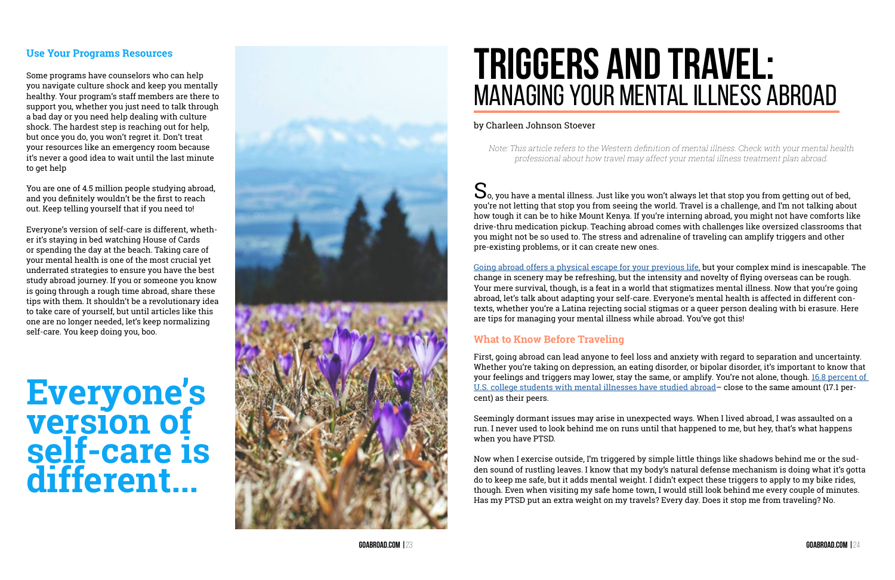#### **Use Your Programs Resources**

Some programs have counselors who can help you navigate culture shock and keep you mentally healthy. Your program's staff members are there to support you, whether you just need to talk through a bad day or you need help dealing with culture shock. The hardest step is reaching out for help, but once you do, you won't regret it. Don't treat your resources like an emergency room because it's never a good idea to wait until the last minute to get help

You are one of 4.5 million people studying abroad, and you definitely wouldn't be the first to reach out. Keep telling yourself that if you need to!

Everyone's version of self-care is different, wheth er it's staying in bed watching House of Cards or spending the day at the beach. Taking care of your mental health is one of the most crucial yet underrated strategies to ensure you have the best study abroad journey. If you or someone you know is going through a rough time abroad, share these tips with them. It shouldn't be a revolutionary idea to take care of yourself, but until articles like this one are no longer needed, let's keep normalizing self-care. You keep doing you, boo.

 $\mathbf S$ <sub>o, you</sub> have a mental illness. Just like you won't always let that stop you from getting out of bed, you're not letting that stop you from seeing the world. Travel is a challenge, and I'm not talking about how tough it can be to hike Mount Kenya. If you're interning abroad, you might not have comforts like drive-thru medication pickup. Teaching abroad comes with challenges like oversized classrooms that you might not be so used to. The stress and adrenaline of traveling can amplify triggers and other pre-existing problems, or it can create new ones.

## **Everyone's version of self-care is different...**



## **triggers and travel:** managing your mental illness abroad

#### by Charleen Johnson Stoever

Note: This article refers to the Western definition of mental illness. Check with your mental health professional about how travel may affect your mental illness treatment plan abroad.

[Going abroad offers a physical escape for your previous life,](https://www.internationalinsurance.com/news/travel-can-boost-mental-health.php) but your complex mind is inescapable. The change in scenery may be refreshing, but the intensity and novelty of flying overseas can be rough. Your mere survival, though, is a feat in a world that stigmatizes mental illness. Now that you're going abroad, let's talk about adapting your self-care. Everyone's mental health is affected in different con texts, whether you're a Latina rejecting social stigmas or a queer person dealing with bi erasure. Here are tips for managing your mental illness while abroad. You've got this!

#### **What to Know Before Traveling**

First, going abroad can lead anyone to feel loss and anxiety with regard to separation and uncertainty. Whether you're taking on depression, an eating disorder, or bipolar disorder, it's important to know that your feelings and triggers may lower, stay the same, or amplify. You're not alone, though. [16.8 percent of](http://www.miusa.org/resource/tipsheet/mentalhealthsuccess)  [U.S. college students with mental illnesses have studied abroad](http://www.miusa.org/resource/tipsheet/mentalhealthsuccess)– close to the same amount (17.1 per cent) as their peers.

Seemingly dormant issues may arise in unexpected ways. When I lived abroad, I was assaulted on a run. I never used to look behind me on runs until that happened to me, but hey, that's what happens when you have PTSD.

Now when I exercise outside, I'm triggered by simple little things like shadows behind me or the sud den sound of rustling leaves. I know that my body's natural defense mechanism is doing what it's gotta do to keep me safe, but it adds mental weight. I didn't expect these triggers to apply to my bike rides, though. Even when visiting my safe home town, I would still look behind me every couple of minutes. Has my PTSD put an extra weight on my travels? Every day. Does it stop me from traveling? No.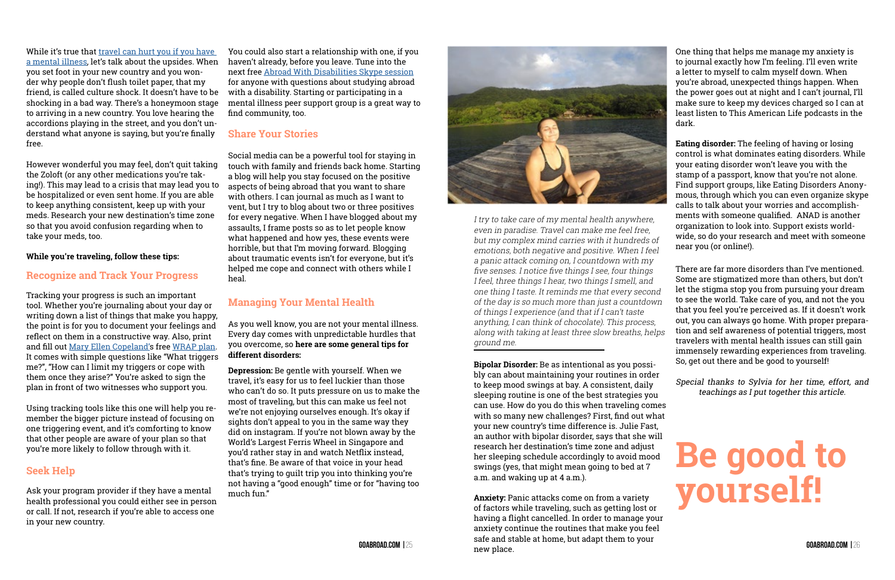While it's true that travel can hurt you if you have [a mental illness](http://www.lezbackpack.com/ways-travel-hurt/), let's talk about the upsides. When you set foot in your new country and you wonder why people don't flush toilet paper, that my friend, is called culture shock. It doesn't have to be shocking in a bad way. There's a honeymoon stage to arriving in a new country. You love hearing the accordions playing in the street, and you don't understand what anyone is saying, but you're finally free.

However wonderful you may feel, don't quit taking the Zoloft (or any other medications you're taking!). This may lead to a crisis that may lead you to be hospitalized or even sent home. If you are able to keep anything consistent, keep up with your meds. Research your new destination's time zone so that you avoid confusion regarding when to take your meds, too.

#### **While you're traveling, follow these tips:**

#### **Recognize and Track Your Progress**

Tracking your progress is such an important tool. Whether you're journaling about your day or writing down a list of things that make you happy, the point is for you to document your feelings and reflect on them in a constructive way. Also, print and fill out [Mary Ellen Copeland's](http://mentalhealthrecovery.com/about-mary-ellen-copeland/) free [WRAP plan.](http://www.workingtogetherforrecovery.co.uk/Documents/Wellness%2520Recovery%2520Action%2520Plan.pdf) It comes with simple questions like "What triggers me?", "How can I limit my triggers or cope with them once they arise?" You're asked to sign the plan in front of two witnesses who support you.

Using tracking tools like this one will help you remember the bigger picture instead of focusing on one triggering event, and it's comforting to know that other people are aware of your plan so that you're more likely to follow through with it.

#### **Seek Help**

You could also start a relationship with one, if you haven't already, before you leave. Tune into the next free [Abroad With Disabilities Skype session](http://abroadwithdisabilities.org/awd-live/) for anyone with questions about studying abroad with a disability. Starting or participating in a mental illness peer support group is a great way to find community, too.

#### **Share Your Stories**

Social media can be a powerful tool for staying in touch with family and friends back home. Starting a blog will help you stay focused on the positive aspects of being abroad that you want to share with others. I can journal as much as I want to vent, but I try to blog about two or three positives for every negative. When I have blogged about my assaults, I frame posts so as to let people know what happened and how yes, these events were horrible, but that I'm moving forward. Blogging about traumatic events isn't for everyone, but it's helped me cope and connect with others while I heal.

> **GOABROAD.COM |**25 **GOABROAD.COM |**26 **Anxiety:** Panic attacks come on from a variety of factors while traveling, such as getting lost or having a flight cancelled. In order to manage your anxiety continue the routines that make you feel safe and stable at home, but adapt them to your new place.

I try to take care of my mental health anywhere, even in paradise. Travel can make me feel free, but my complex mind carries with it hundreds of emotions, both negative and positive. When I feel a panic attack coming on, I countdown with my five senses. I notice five things I see, four things I feel, three things I hear, two things I smell, and one thing I taste. It reminds me that every second of the day is so much more than just a countdown of things I experience (and that if I can't taste anything, I can think of chocolate). This process, along with taking at least three slow breaths, helps ground me.

## **Be good to**  Ask your program provider if they have a mental much fun."<br>Ask your program provider if they have a mental much fun."<br>health professional you could either see in person much fun."<br>Anxiety: Panic attacks come on from a vari

#### **Managing Your Mental Health**

As you well know, you are not your mental illness. Every day comes with unpredictable hurdles that you overcome, so **here are some general tips for different disorders:**

**Depression:** Be gentle with yourself. When we travel, it's easy for us to feel luckier than those who can't do so. It puts pressure on us to make the most of traveling, but this can make us feel not we're not enjoying ourselves enough. It's okay if sights don't appeal to you in the same way they did on instagram. If you're not blown away by the World's Largest Ferris Wheel in Singapore and you'd rather stay in and watch Netflix instead, that's fine. Be aware of that voice in your head that's trying to guilt trip you into thinking you're not having a "good enough" time or for "having too much fun."



**Bipolar Disorder:** Be as intentional as you possibly can about maintaining your routines in order to keep mood swings at bay. A consistent, daily sleeping routine is one of the best strategies you can use. How do you do this when traveling comes with so many new challenges? First, find out what your new country's time difference is. Julie Fast, an author with bipolar disorder, says that she will research her destination's time zone and adjust her sleeping schedule accordingly to avoid mood swings (yes, that might mean going to bed at 7 a.m. and waking up at 4 a.m.).

One thing that helps me manage my anxiety is to journal exactly how I'm feeling. I'll even write a letter to myself to calm myself down. When you're abroad, unexpected things happen. When the power goes out at night and I can't journal, I'll make sure to keep my devices charged so I can at least listen to This American Life podcasts in the dark.

**Eating disorder:** The feeling of having or losing control is what dominates eating disorders. While your eating disorder won't leave you with the stamp of a passport, know that you're not alone. Find support groups, like Eating Disorders Anonymous, through which you can even organize skype calls to talk about your worries and accomplishments with someone qualified. ANAD is another organization to look into. Support exists worldwide, so do your research and meet with someone near you (or online!).

There are far more disorders than I've mentioned. Some are stigmatized more than others, but don't let the stigma stop you from pursuing your dream to see the world. Take care of you, and not the you that you feel you're perceived as. If it doesn't work out, you can always go home. With proper preparation and self awareness of potential triggers, most travelers with mental health issues can still gain immensely rewarding experiences from traveling. So, get out there and be good to yourself!

Special thanks to Sylvia for her time, effort, and teachings as I put together this article.

health professional you could either see in person or call. If not, research if you're able to access one in your new country.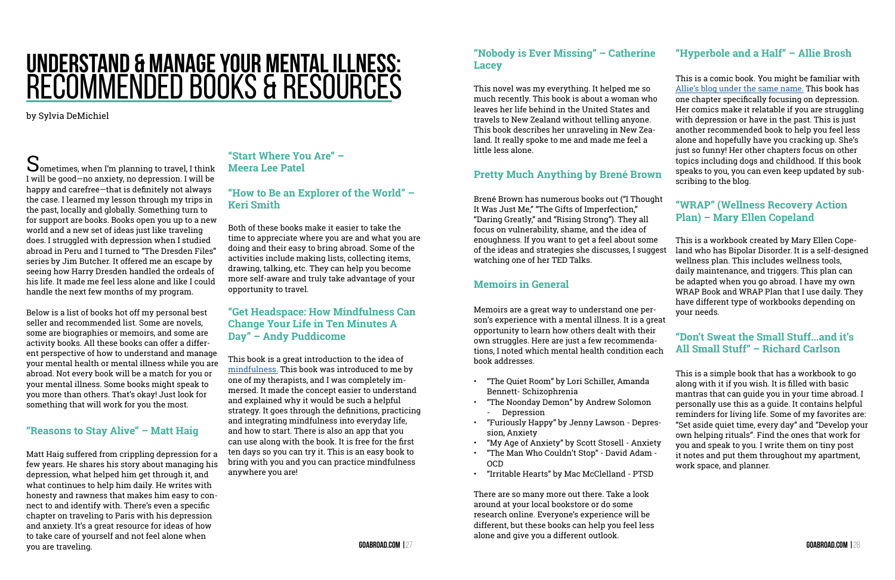## <span id="page-13-0"></span>**understand & manage your mental Illness:** Recommended books & Resources

by Sylvia DeMichiel

 ${\mathbf S}$ ometimes, when I'm planning to travel, I think I will be good—no anxiety, no depression. I will be happy and carefree—that is definitely not always the case. I learned my lesson through my trips in the past, locally and globally. Something turn to for support are books. Books open you up to a new world and a new set of ideas just like traveling does. I struggled with depression when I studied abroad in Peru and I turned to "The Dresden Files" series by Jim Butcher. It offered me an escape by seeing how Harry Dresden handled the ordeals of his life. It made me feel less alone and like I could handle the next few months of my program.

Below is a list of books hot off my personal best seller and recommended list. Some are novels, some are biographies or memoirs, and some are activity books. All these books can offer a different perspective of how to understand and manage your mental health or mental illness while you are abroad. Not every book will be a match for you or your mental illness. Some books might speak to you more than others. That's okay! Just look for something that will work for you the most.

#### **"Reasons to Stay Alive" – Matt Haig**

Matt Haig suffered from crippling depression for a few years. He shares his story about managing his depression, what helped him get through it, and what continues to help him daily. He writes with honesty and rawness that makes him easy to connect to and identify with. There's even a specific chapter on traveling to Paris with his depression and anxiety. It's a great resource for ideas of how to take care of yourself and not feel alone when you are traveling.

#### **"Start Where You Are" – Meera Lee Patel**

#### **"How to Be an Explorer of the World" – Keri Smith**

Both of these books make it easier to take the time to appreciate where you are and what you are doing and their easy to bring abroad. Some of the activities include making lists, collecting items, drawing, talking, etc. They can help you become more self-aware and truly take advantage of your opportunity to travel.

#### **"Get Headspace: How Mindfulness Can Change Your Life in Ten Minutes A Day" – Andy Puddicome**

This book is a great introduction to the idea of [mindfulness.](https://www.headspace.com/andy-puddicombe) This book was introduced to me by one of my therapists, and I was completely immersed. It made the concept easier to understand and explained why it would be such a helpful strategy. It goes through the definitions, practicing and integrating mindfulness into everyday life, and how to start. There is also an app that you can use along with the book. It is free for the first ten days so you can try it. This is an easy book to bring with you and you can practice mindfulness anywhere you are!

#### **"Nobody is Ever Missing" – Catherine Lacey**

This novel was my everything. It helped me so much recently. This book is about a woman who leaves her life behind in the United States and travels to New Zealand without telling anyone. This book describes her unraveling in New Zealand. It really spoke to me and made me feel a little less alone.

#### **Pretty Much Anything by Brené Brown**

Brené Brown has numerous books out ("I Thought It Was Just Me," "The Gifts of Imperfection," "Daring Greatly," and "Rising Strong"). They all focus on vulnerability, shame, and the idea of enoughness. If you want to get a feel about some of the ideas and strategies she discusses, I suggest watching one of her TED Talks.

#### **Memoirs in General**

Memoirs are a great way to understand one person's experience with a mental illness. It is a great opportunity to learn how others dealt with their own struggles. Here are just a few recommendations, I noted which mental health condition each book addresses.

- "The Quiet Room" by Lori Schiller, Amanda Bennett- Schizophrenia
- "The Noonday Demon" by Andrew Solomon - Depression
- "Furiously Happy" by Jenny Lawson Depression, Anxiety
- "My Age of Anxiety" by Scott Stosell Anxiety
- "The Man Who Couldn't Stop" David Adam **OCD**
- "Irritable Hearts" by Mac McClelland PTSD

There are so many more out there. Take a look around at your local bookstore or do some research online. Everyone's experience will be different, but these books can help you feel less alone and give you a different outlook.

#### **"Hyperbole and a Half" – Allie Brosh**

This is a comic book. You might be familiar with [Allie's blog under the same name.](http://hyperboleandahalf.blogspot.com/) This book has one chapter specifically focusing on depression. Her comics make it relatable if you are struggling with depression or have in the past. This is just another recommended book to help you feel less alone and hopefully have you cracking up. She's just so funny! Her other chapters focus on other topics including dogs and childhood. If this book speaks to you, you can even keep updated by subscribing to the blog.

#### **"WRAP" (Wellness Recovery Action Plan) – Mary Ellen Copeland**

This is a workbook created by Mary Ellen Copeland who has Bipolar Disorder. It is a self-designed wellness plan. This includes wellness tools, daily maintenance, and triggers. This plan can be adapted when you go abroad. I have my own WRAP Book and WRAP Plan that I use daily. They have different type of workbooks depending on your needs.

#### **"Don't Sweat the Small Stuff...and it's All Small Stuff" – Richard Carlson**

This is a simple book that has a workbook to go along with it if you wish. It is filled with basic mantras that can guide you in your time abroad. I personally use this as a guide. It contains helpful reminders for living life. Some of my favorites are: "Set aside quiet time, every day" and "Develop your own helping rituals". Find the ones that work for you and speak to you. I write them on tiny post it notes and put them throughout my apartment, work space, and planner.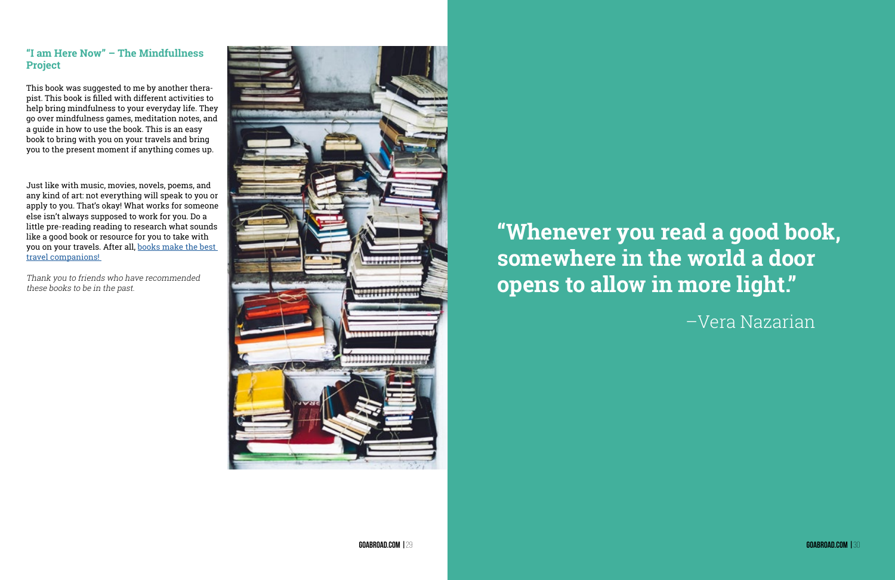**GOABROAD.COM |**29 **GOABROAD.COM |**30

#### **"I am Here Now" – The Mindfullness Project**

This book was suggested to me by another therapist. This book is filled with different activities to help bring mindfulness to your everyday life. They go over mindfulness games, meditation notes, and a guide in how to use the book. This is an easy book to bring with you on your travels and bring you to the present moment if anything comes up.

Just like with music, movies, novels, poems, and any kind of art: not everything will speak to you or apply to you. That's okay! What works for someone else isn't always supposed to work for you. Do a little pre-reading reading to research what sounds like a good book or resource for you to take with you on your travels. After all, [books make the best](https://www.goabroad.com/articles/these-9-books-make-great-travel-companions)  [travel companions!](https://www.goabroad.com/articles/these-9-books-make-great-travel-companions) 

Thank you to friends who have recommended these books to be in the past.



# **"Whenever you read a good book,**

**somewhere in the world a door opens to allow in more light."**

–Vera Nazarian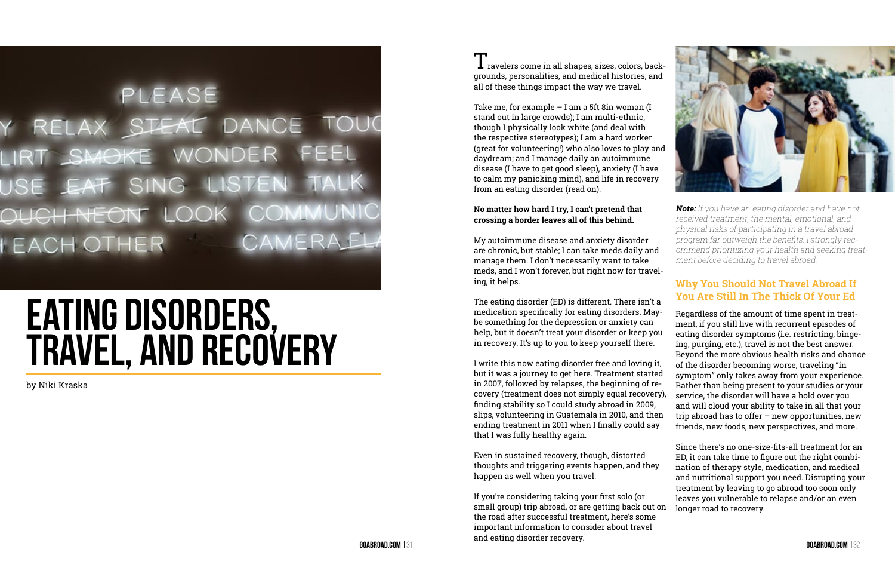# <span id="page-15-0"></span>PLEASE **EACH OTHER**

## **eating disorders, travel, and recovery**

by Niki Kraska

#### $\bm{1}$  ravelers come in all shapes, sizes, colors, backgrounds, personalities, and medical histories, and all of these things impact the way we travel.

Take me, for example  $-$  I am a 5ft 8in woman (I stand out in large crowds); I am multi-ethnic, though I physically look white (and deal with the respective stereotypes); I am a hard worker (great for volunteering!) who also loves to play and daydream; and I manage daily an autoimmune disease (I have to get good sleep), anxiety (I have to calm my panicking mind), and life in recovery from an eating disorder (read on).

#### **No matter how hard I try, I can't pretend that crossing a border leaves all of this behind.**

My autoimmune disease and anxiety disorder are chronic, but stable; I can take meds daily and manage them. I don't necessarily want to take meds, and I won't forever, but right now for traveling, it helps.

the road after successful treatment, here's some important information to consider about travel and eating disorder recovery.



The eating disorder (ED) is different. There isn't a medication specifically for eating disorders. Maybe something for the depression or anxiety can help, but it doesn't treat your disorder or keep you in recovery. It's up to you to keep yourself there. I write this now eating disorder free and loving it, but it was a journey to get here. Treatment started in 2007, followed by relapses, the beginning of recovery (treatment does not simply equal recovery), finding stability so I could study abroad in 2009, slips, volunteering in Guatemala in 2010, and then ending treatment in 2011 when I finally could say that I was fully healthy again. Even in sustained recovery, though, distorted Regardless of the amount of time spent in treatment, if you still live with recurrent episodes of eating disorder symptoms (i.e. restricting, bingeing, purging, etc.), travel is not the best answer. Beyond the more obvious health risks and chance of the disorder becoming worse, traveling "in symptom" only takes away from your experience. Rather than being present to your studies or your service, the disorder will have a hold over you and will cloud your ability to take in all that your trip abroad has to offer – new opportunities, new friends, new foods, new perspectives, and more. Since there's no one-size-fits-all treatment for an

**Note:** If you have an eating disorder and have not received treatment, the mental, emotional, and physical risks of participating in a travel abroad program far outweigh the benefits. I strongly recommend prioritizing your health and seeking treatment before deciding to travel abroad.

#### **Why You Should Not Travel Abroad If You Are Still In The Thick Of Your Ed**

thoughts and triggering events happen, and they happen as well when you travel. If you're considering taking your first solo (or small group) trip abroad, or are getting back out on ED, it can take time to figure out the right combination of therapy style, medication, and medical and nutritional support you need. Disrupting your treatment by leaving to go abroad too soon only leaves you vulnerable to relapse and/or an even longer road to recovery.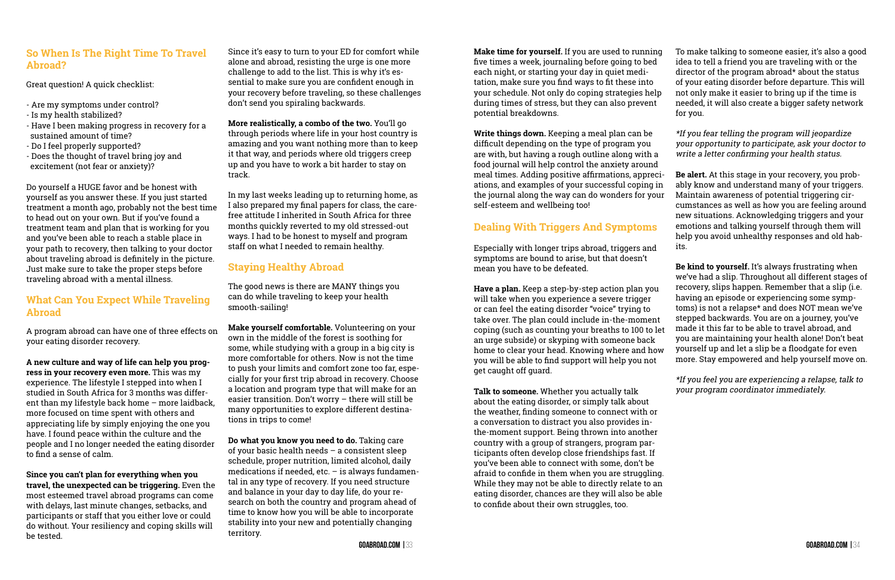#### **So When Is The Right Time To Travel Abroad?**

Great question! A quick checklist:

- Are my symptoms under control?
- Is my health stabilized?
- Have I been making progress in recovery for a sustained amount of time?
- Do I feel properly supported?
- Does the thought of travel bring joy and excitement (not fear or anxiety)?

Do yourself a HUGE favor and be honest with yourself as you answer these. If you just started treatment a month ago, probably not the best time to head out on your own. But if you've found a treatment team and plan that is working for you and you've been able to reach a stable place in your path to recovery, then talking to your doctor about traveling abroad is definitely in the picture. Just make sure to take the proper steps before traveling abroad with a mental illness.

#### **What Can You Expect While Traveling Abroad**

A program abroad can have one of three effects on your eating disorder recovery.

**A new culture and way of life can help you progress in your recovery even more.** This was my experience. The lifestyle I stepped into when I studied in South Africa for 3 months was different than my lifestyle back home – more laidback, more focused on time spent with others and appreciating life by simply enjoying the one you have. I found peace within the culture and the people and I no longer needed the eating disorder to find a sense of calm.

**Since you can't plan for everything when you travel, the unexpected can be triggering.** Even the most esteemed travel abroad programs can come with delays, last minute changes, setbacks, and participants or staff that you either love or could do without. Your resiliency and coping skills will be tested.

Since it's easy to turn to your ED for comfort while alone and abroad, resisting the urge is one more challenge to add to the list. This is why it's essential to make sure you are confident enough in your recovery before traveling, so these challenges don't send you spiraling backwards.

**More realistically, a combo of the two.** You'll go through periods where life in your host country is amazing and you want nothing more than to keep it that way, and periods where old triggers creep up and you have to work a bit harder to stay on track.

In my last weeks leading up to returning home, as I also prepared my final papers for class, the carefree attitude I inherited in South Africa for three months quickly reverted to my old stressed-out ways. I had to be honest to myself and program staff on what I needed to remain healthy.

#### **Staying Healthy Abroad**

The good news is there are MANY things you can do while traveling to keep your health smooth-sailing!

**Make yourself comfortable.** Volunteering on your own in the middle of the forest is soothing for some, while studying with a group in a big city is more comfortable for others. Now is not the time to push your limits and comfort zone too far, especially for your first trip abroad in recovery. Choose a location and program type that will make for an easier transition. Don't worry – there will still be many opportunities to explore different destinations in trips to come!

**Do what you know you need to do.** Taking care of your basic health needs – a consistent sleep schedule, proper nutrition, limited alcohol, daily medications if needed, etc. – is always fundamental in any type of recovery. If you need structure and balance in your day to day life, do your research on both the country and program ahead of time to know how you will be able to incorporate stability into your new and potentially changing territory.

**Make time for yourself.** If you are used to running five times a week, journaling before going to bed each night, or starting your day in quiet meditation, make sure you find ways to fit these into your schedule. Not only do coping strategies help during times of stress, but they can also prevent potential breakdowns.

**Write things down.** Keeping a meal plan can be difficult depending on the type of program you are with, but having a rough outline along with a food journal will help control the anxiety around meal times. Adding positive affirmations, appreciations, and examples of your successful coping in the journal along the way can do wonders for your self-esteem and wellbeing too!

#### **Dealing With Triggers And Symptoms**

Especially with longer trips abroad, triggers and symptoms are bound to arise, but that doesn't mean you have to be defeated.

**Talk to someone.** Whether you actually talk about the eating disorder, or simply talk about the weather, finding someone to connect with or a conversation to distract you also provides inthe-moment support. Being thrown into another country with a group of strangers, program participants often develop close friendships fast. If you've been able to connect with some, don't be afraid to confide in them when you are struggling. While they may not be able to directly relate to an eating disorder, chances are they will also be able to confide about their own struggles, too.

**Have a plan.** Keep a step-by-step action plan you will take when you experience a severe trigger or can feel the eating disorder "voice" trying to take over. The plan could include in-the-moment coping (such as counting your breaths to 100 to let an urge subside) or skyping with someone back home to clear your head. Knowing where and how you will be able to find support will help you not get caught off guard. **Be kind to yourself.** It's always frustrating when we've had a slip. Throughout all different stages of recovery, slips happen. Remember that a slip (i.e. having an episode or experiencing some symptoms) is not a relapse\* and does NOT mean we've stepped backwards. You are on a journey, you've made it this far to be able to travel abroad, and you are maintaining your health alone! Don't beat yourself up and let a slip be a floodgate for even more. Stay empowered and help yourself move on.

To make talking to someone easier, it's also a good idea to tell a friend you are traveling with or the director of the program abroad\* about the status of your eating disorder before departure. This will not only make it easier to bring up if the time is needed, it will also create a bigger safety network for you.

\*If you fear telling the program will jeopardize your opportunity to participate, ask your doctor to write a letter confirming your health status.

**Be alert.** At this stage in your recovery, you probably know and understand many of your triggers. Maintain awareness of potential triggering circumstances as well as how you are feeling around new situations. Acknowledging triggers and your emotions and talking yourself through them will help you avoid unhealthy responses and old habits.

\*If you feel you are experiencing a relapse, talk to your program coordinator immediately.

- 
-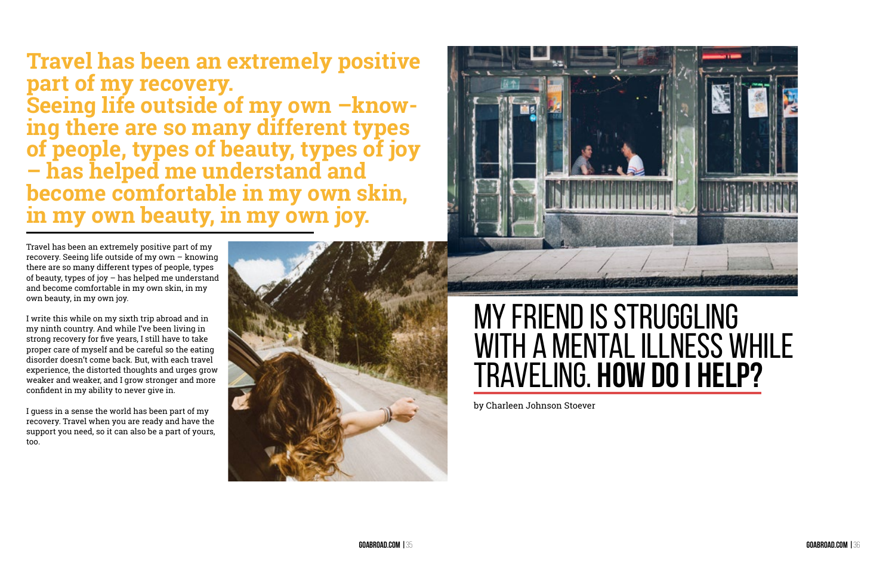**GOABROAD.COM |**35 **GOABROAD.COM |**36

Travel has been an extremely positive part of my recovery. Seeing life outside of my own – knowing there are so many different types of people, types of beauty, types of joy – has helped me understand and become comfortable in my own skin, in my own beauty, in my own joy.

I write this while on my sixth trip abroad and in my ninth country. And while I've been living in strong recovery for five years, I still have to take proper care of myself and be careful so the eating disorder doesn't come back. But, with each travel experience, the distorted thoughts and urges grow weaker and weaker, and I grow stronger and more confident in my ability to never give in.

<span id="page-17-0"></span>**Travel has been an extremely positive part of my recovery. Seeing life outside of my own –knowing there are so many different types of people, types of beauty, types of joy – has helped me understand and become comfortable in my own skin, in my own beauty, in my own joy.**

I guess in a sense the world has been part of my recovery. Travel when you are ready and have the support you need, so it can also be a part of yours, too.





## my friend is struggling WITH A MENTAL ILLNESS WHILE traveling. **how do i help?**

by Charleen Johnson Stoever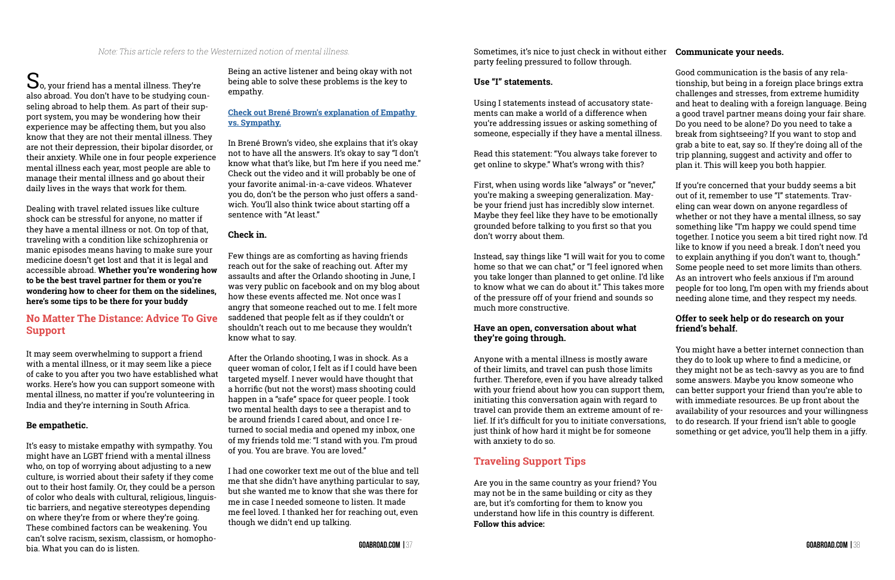Note: This article refers to the Westernized notion of mental illness.

 $\mathbf S_\text{o}$ , your friend has a mental illness. They're also abroad. You don't have to be studying counseling abroad to help them. As part of their support system, you may be wondering how their experience may be affecting them, but you also know that they are not their mental illness. They are not their depression, their bipolar disorder, or their anxiety. While one in four people experience mental illness each year, most people are able to manage their mental illness and go about their daily lives in the ways that work for them.

Dealing with travel related issues like culture shock can be stressful for anyone, no matter if they have a mental illness or not. On top of that, traveling with a condition like schizophrenia or manic episodes means having to make sure your medicine doesn't get lost and that it is legal and accessible abroad. **Whether you're wondering how to be the best travel partner for them or you're wondering how to cheer for them on the sidelines, here's some tips to be there for your buddy**

#### **No Matter The Distance: Advice To Give Support**

It may seem overwhelming to support a friend with a mental illness, or it may seem like a piece of cake to you after you two have established what works. Here's how you can support someone with mental illness, no matter if you're volunteering in India and they're interning in South Africa.

#### **Be empathetic.**

It's easy to mistake empathy with sympathy. You might have an LGBT friend with a mental illness who, on top of worrying about adjusting to a new culture, is worried about their safety if they come out to their host family. Or, they could be a person of color who deals with cultural, religious, linguistic barriers, and negative stereotypes depending on where they're from or where they're going. These combined factors can be weakening. You can't solve racism, sexism, classism, or homophobia. What you can do is listen.

Being an active listener and being okay with not being able to solve these problems is the key to empathy.

#### **[Check out Brené Brown's explanation of Empathy](https://youtu.be/1Evwgu369Jw)  [vs. Sympathy.](https://youtu.be/1Evwgu369Jw)**

In Brené Brown's video, she explains that it's okay not to have all the answers. It's okay to say "I don't know what that's like, but I'm here if you need me." Check out the video and it will probably be one of your favorite animal-in-a-cave videos. Whatever you do, don't be the person who just offers a sandwich. You'll also think twice about starting off a sentence with "At least."

#### **Check in.**

Few things are as comforting as having friends reach out for the sake of reaching out. After my assaults and after the Orlando shooting in June, I was very public on facebook and on my blog about how these events affected me. Not once was I angry that someone reached out to me. I felt more saddened that people felt as if they couldn't or shouldn't reach out to me because they wouldn't know what to say.

After the Orlando shooting, I was in shock. As a queer woman of color, I felt as if I could have been targeted myself. I never would have thought that a horrific (but not the worst) mass shooting could happen in a "safe" space for queer people. I took two mental health days to see a therapist and to be around friends I cared about, and once I returned to social media and opened my inbox, one of my friends told me: "I stand with you. I'm proud of you. You are brave. You are loved."

I had one coworker text me out of the blue and tell me that she didn't have anything particular to say, but she wanted me to know that she was there for me in case I needed someone to listen. It made me feel loved. I thanked her for reaching out, even though we didn't end up talking.

Sometimes, it's nice to just check in without either **Communicate your needs.**  party feeling pressured to follow through.

#### **Use "I" statements.**

Using I statements instead of accusatory statements can make a world of a difference when you're addressing issues or asking something of someone, especially if they have a mental illness.

Read this statement: "You always take forever to get online to skype." What's wrong with this?

First, when using words like "always" or "never," you're making a sweeping generalization. Maybe your friend just has incredibly slow internet. Maybe they feel like they have to be emotionally grounded before talking to you first so that you don't worry about them.

Instead, say things like "I will wait for you to come home so that we can chat," or "I feel ignored when you take longer than planned to get online. I'd like to know what we can do about it." This takes more of the pressure off of your friend and sounds so much more constructive.

#### **Have an open, conversation about what they're going through.**

#### **Traveling Support Tips**

Are you in the same country as your friend? You may not be in the same building or city as they are, but it's comforting for them to know you understand how life in this country is different. **Follow this advice:**

Good communication is the basis of any relationship, but being in a foreign place brings extra challenges and stresses, from extreme humidity and heat to dealing with a foreign language. Being a good travel partner means doing your fair share. Do you need to be alone? Do you need to take a break from sightseeing? If you want to stop and

grab a bite to eat, say so. If they're doing all of the trip planning, suggest and activity and offer to plan it. This will keep you both happier.

Anyone with a mental illness is mostly aware of their limits, and travel can push those limits further. Therefore, even if you have already talked with your friend about how you can support them, initiating this conversation again with regard to travel can provide them an extreme amount of relief. If it's difficult for you to initiate conversations, just think of how hard it might be for someone with anxiety to do so. You might have a better internet connection than they do to look up where to find a medicine, or they might not be as tech-savvy as you are to find some answers. Maybe you know someone who can better support your friend than you're able to with immediate resources. Be up front about the availability of your resources and your willingness to do research. If your friend isn't able to google something or get advice, you'll help them in a jiffy.

If you're concerned that your buddy seems a bit out of it, remember to use "I" statements. Traveling can wear down on anyone regardless of whether or not they have a mental illness, so say something like "I'm happy we could spend time together. I notice you seem a bit tired right now. I'd like to know if you need a break. I don't need you to explain anything if you don't want to, though." Some people need to set more limits than others. As an introvert who feels anxious if I'm around people for too long, I'm open with my friends about needing alone time, and they respect my needs.

#### **Offer to seek help or do research on your friend's behalf.**